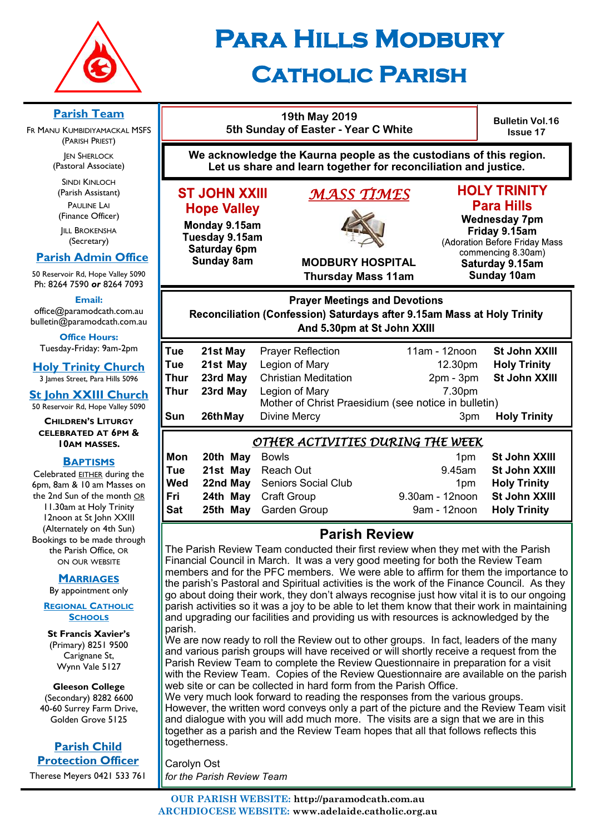

# **Para Hills Modbury**

# **CATHOLIC PARISH**

#### **Parish Team**

FR MANU KUMBIDIYAMACKAL MSFS (PARISH PRIEST)

**JEN SHERLOCK** (Pastoral Associate)

SINDI KINLOCH (Parish Assistant) PAULINE LAI (Finance Officer)

**IILL BROKENSHA** (Secretary)

# **Parish Admin Office**

50 Reservoir Rd, Hope Valley 5090 Ph: 8264 7590 *or* 8264 7093

**Email:** 

office@paramodcath.com.au bulletin@paramodcath.com.au

**Office Hours:**  Tuesday-Friday: 9am-2pm

**Holy Trinity Church** 3 James Street, Para Hills 5096

**St John XXIII Church** 50 Reservoir Rd, Hope Valley 5090

**CHILDREN'S LITURGY CELEBRATED AT 6PM & 10AM MASSES.**

#### **BAPTISMS**

Celebrated EITHER during the 6pm, 8am & 10 am Masses on the 2nd Sun of the month OR 11.30am at Holy Trinity 12noon at St John XXIII (Alternately on 4th Sun) Bookings to be made through the Parish Office, OR ON OUR WEBSITE

#### **MARRIAGES**

By appointment only

#### **REGIONAL CATHOLIC SCHOOLS**

**St Francis Xavier's**  (Primary) 8251 9500 Carignane St, Wynn Vale 5127

**Gleeson College**  (Secondary) 8282 6600 40-60 Surrey Farm Drive, Golden Grove 5125

**Parish Child Protection Officer** Therese Meyers 0421 533 761

| JAIHULIU FARISH                                                                                                                       |                                                                                                                           |                                                                                                                                                                                   |                                                          |                                                                                     |  |  |
|---------------------------------------------------------------------------------------------------------------------------------------|---------------------------------------------------------------------------------------------------------------------------|-----------------------------------------------------------------------------------------------------------------------------------------------------------------------------------|----------------------------------------------------------|-------------------------------------------------------------------------------------|--|--|
|                                                                                                                                       | 5th Sunday of Easter - Year C White                                                                                       | <b>Bulletin Vol.16</b><br><b>Issue 17</b>                                                                                                                                         |                                                          |                                                                                     |  |  |
| We acknowledge the Kaurna people as the custodians of this region.<br>Let us share and learn together for reconciliation and justice. |                                                                                                                           |                                                                                                                                                                                   |                                                          |                                                                                     |  |  |
|                                                                                                                                       | <b>ST JOHN XXIII</b><br><b>Hope Valley</b><br>Monday 9.15am<br>Tuesday 9.15am<br><b>Saturday 6pm</b><br><b>Sunday 8am</b> | <b>HOLY TRINITY</b><br><b>Para Hills</b><br><b>Wednesday 7pm</b><br>Friday 9.15am<br>(Adoration Before Friday Mass<br>commencing 8.30am)<br>Saturday 9.15am<br><b>Sunday 10am</b> |                                                          |                                                                                     |  |  |
| Reconciliation (Confession) Saturdays after 9.15am Mass at Holy Trinity<br>And 5.30pm at St John XXIII                                |                                                                                                                           |                                                                                                                                                                                   |                                                          |                                                                                     |  |  |
| Tue<br>Tue<br><b>Thur</b><br>Thur<br>Sun                                                                                              | 21st May<br>21st May<br>23rd May<br>23rd May<br>26th May                                                                  | <b>Prayer Reflection</b><br>Legion of Mary<br><b>Christian Meditation</b><br>Legion of Mary<br>Mother of Christ Praesidium (see notice in bulletin)<br>Divine Mercy               | 11am - 12noon<br>12.30pm<br>$2pm - 3pm$<br>7.30pm<br>3pm | <b>St John XXIII</b><br><b>Holy Trinity</b><br>St John XXIII<br><b>Holy Trinity</b> |  |  |
| OTHER ACTIVITIES DURING THE WEEK                                                                                                      |                                                                                                                           |                                                                                                                                                                                   |                                                          |                                                                                     |  |  |
| Mon<br><b>Tue</b>                                                                                                                     | 20th May<br>21st May                                                                                                      | <b>Bowls</b><br><b>Reach Out</b>                                                                                                                                                  | 1pm<br>9.45am                                            | <b>St John XXIII</b><br><b>St John XXIII</b>                                        |  |  |

# **Parish Review**

**Fri 24th May** Craft Group 9.30am - 12noon **St John XXIII Sat 25th May** Garden Group 9am - 12noon **Holy Trinity** 

The Parish Review Team conducted their first review when they met with the Parish Financial Council in March. It was a very good meeting for both the Review Team members and for the PFC members. We were able to affirm for them the importance to the parish's Pastoral and Spiritual activities is the work of the Finance Council. As they go about doing their work, they don't always recognise just how vital it is to our ongoing parish activities so it was a joy to be able to let them know that their work in maintaining and upgrading our facilities and providing us with resources is acknowledged by the parish.

We are now ready to roll the Review out to other groups. In fact, leaders of the many and various parish groups will have received or will shortly receive a request from the Parish Review Team to complete the Review Questionnaire in preparation for a visit with the Review Team. Copies of the Review Questionnaire are available on the parish web site or can be collected in hard form from the Parish Office.

We very much look forward to reading the responses from the various groups. However, the written word conveys only a part of the picture and the Review Team visit and dialogue with you will add much more. The visits are a sign that we are in this together as a parish and the Review Team hopes that all that follows reflects this togetherness.

Carolyn Ost *for the Parish Review Team*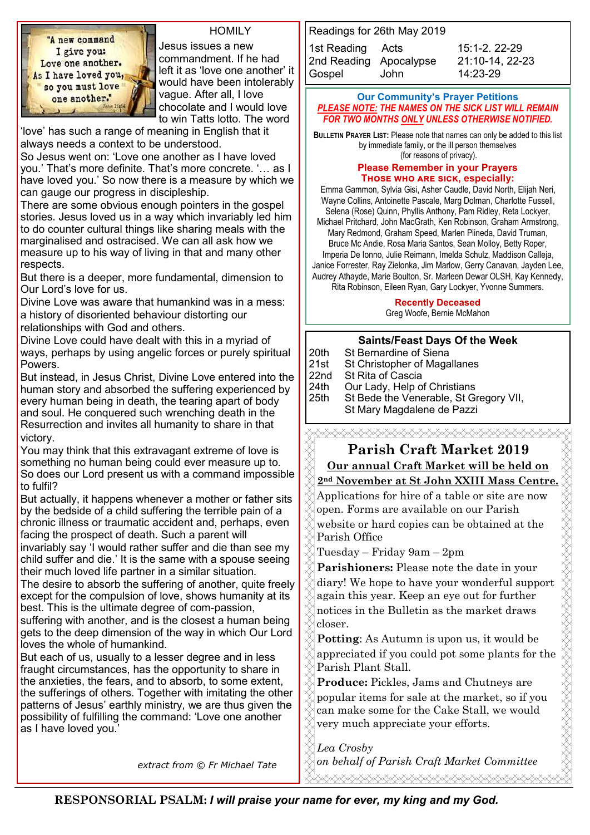"A new command I give you: Love one another. As I have loved you, so you must love one another."

#### **HOMILY**

Jesus issues a new commandment. If he had left it as 'love one another' it would have been intolerably vague. After all, I love chocolate and I would love to win Tatts lotto. The word

'love' has such a range of meaning in English that it always needs a context to be understood.

So Jesus went on: 'Love one another as I have loved you.' That's more definite. That's more concrete. '… as I have loved you.' So now there is a measure by which we can gauge our progress in discipleship.

There are some obvious enough pointers in the gospel stories. Jesus loved us in a way which invariably led him to do counter cultural things like sharing meals with the marginalised and ostracised. We can all ask how we measure up to his way of living in that and many other respects.

But there is a deeper, more fundamental, dimension to Our Lord's love for us.

Divine Love was aware that humankind was in a mess: a history of disoriented behaviour distorting our

relationships with God and others.

Divine Love could have dealt with this in a myriad of ways, perhaps by using angelic forces or purely spiritual Powers.

But instead, in Jesus Christ, Divine Love entered into the human story and absorbed the suffering experienced by every human being in death, the tearing apart of body and soul. He conquered such wrenching death in the Resurrection and invites all humanity to share in that victory.

You may think that this extravagant extreme of love is something no human being could ever measure up to. So does our Lord present us with a command impossible to fulfil?

But actually, it happens whenever a mother or father sits by the bedside of a child suffering the terrible pain of a chronic illness or traumatic accident and, perhaps, even facing the prospect of death. Such a parent will

invariably say 'I would rather suffer and die than see my child suffer and die.' It is the same with a spouse seeing their much loved life partner in a similar situation.

The desire to absorb the suffering of another, quite freely except for the compulsion of love, shows humanity at its best. This is the ultimate degree of com-passion,

suffering with another, and is the closest a human being gets to the deep dimension of the way in which Our Lord loves the whole of humankind.

But each of us, usually to a lesser degree and in less fraught circumstances, has the opportunity to share in the anxieties, the fears, and to absorb, to some extent, the sufferings of others. Together with imitating the other patterns of Jesus' earthly ministry, we are thus given the possibility of fulfilling the command: 'Love one another as I have loved you.'

Readings for 26th May 2019 1st Reading Acts 15:1-2. 22-29 2nd Reading Apocalypse [21:10](javascript:expandDetail(%22reading%22,%22SR%22,%22N04ORSUC%22,%20%22right_content_middle%22,%22%22);)-14, 22-23 Gospel John 14:23-29

#### **Our Community's Prayer Petitions**  *PLEASE NOTE: THE NAMES ON THE SICK LIST WILL REMAIN FOR TWO MONTHS ONLY UNLESS OTHERWISE NOTIFIED.*

**BULLETIN PRAYER LIST:** Please note that names can only be added to this list by immediate family, or the ill person themselves (for reasons of privacy).

#### **Please Remember in your Prayers** THOSE WHO ARE SICK, especially:

Emma Gammon, Sylvia Gisi, Asher Caudle, David North, Elijah Neri, Wayne Collins, Antoinette Pascale, Marg Dolman, Charlotte Fussell, Selena (Rose) Quinn, Phyllis Anthony, Pam Ridley, Reta Lockyer, Michael Pritchard, John MacGrath, Ken Robinson, Graham Armstrong, Mary Redmond, Graham Speed, Marlen Piineda, David Truman, Bruce Mc Andie, Rosa Maria Santos, Sean Molloy, Betty Roper, Imperia De Ionno, Julie Reimann, Imelda Schulz, Maddison Calleja, Janice Forrester, Ray Zielonka, Jim Marlow, Gerry Canavan, Jayden Lee,

Audrey Athayde, Marie Boulton, Sr. Marleen Dewar OLSH, Kay Kennedy, Rita Robinson, Eileen Ryan, Gary Lockyer, Yvonne Summers.

#### **Recently Deceased**

Greg Woofe, Bernie McMahon

#### **Saints/Feast Days Of the Week**

|                                                                                 | St Bernardine of Siena                 |
|---------------------------------------------------------------------------------|----------------------------------------|
|                                                                                 | St Christopher of Magallanes           |
|                                                                                 | St Rita of Cascia                      |
|                                                                                 | Our Lady, Help of Christians           |
|                                                                                 | St Bede the Venerable, St Gregory VII, |
| $\begin{array}{ l }\n\hline\n20th \\ 21st \\ 22nd \\ 24th \\ 25th\n\end{array}$ | St Mary Magdalene de Pazzi             |
|                                                                                 |                                        |

**Parish Craft Market 2019**

# **Our annual Craft Market will be held on**

# **2nd November at St John XXIII Mass Centre.**

Applications for hire of a table or site are now open. Forms are available on our Parish website or hard copies can be obtained at the Parish Office

Tuesday – Friday 9am – 2pm

**Parishioners:** Please note the date in your diary! We hope to have your wonderful support again this year. Keep an eye out for further notices in the Bulletin as the market draws closer.

**Potting**: As Autumn is upon us, it would be appreciated if you could pot some plants for the Parish Plant Stall.

**Produce:** Pickles, Jams and Chutneys are popular items for sale at the market, so if you can make some for the Cake Stall, we would very much appreciate your efforts.

*Lea Crosby on behalf of Parish Craft Market Committee extract from © Fr Michael Tate* 

**RESPONSORIAL PSALM:** *I will praise your name for ever, my king and my God.*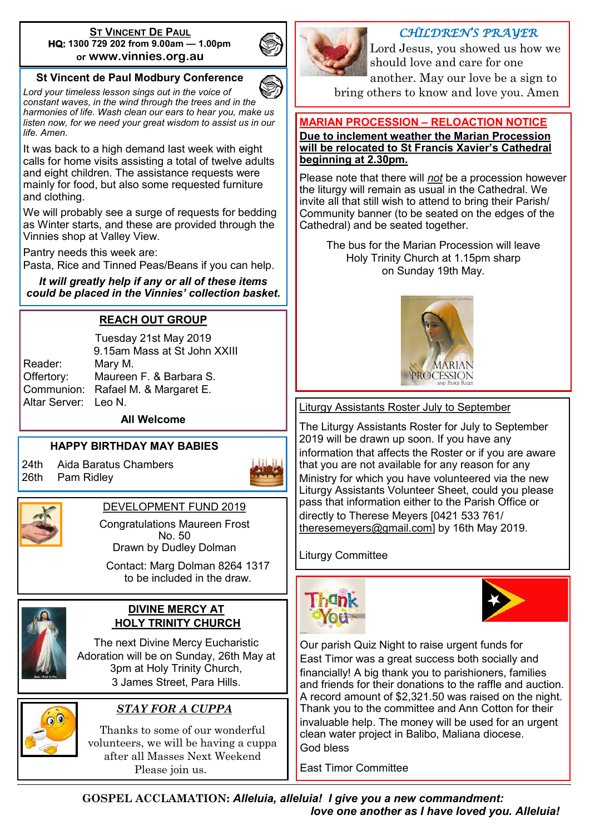#### **ST VINCENT DE PAUL HQ: 1300 729 202 from 9.00am — 1.00pm or www.vinnies.org.au**

# **St Vincent de Paul Modbury Conference**

*Lord your timeless lesson sings out in the voice of constant waves, in the wind through the trees and in the harmonies of life. Wash clean our ears to hear you, make us listen now, for we need your great wisdom to assist us in our life. Amen.*

It was back to a high demand last week with eight calls for home visits assisting a total of twelve adults and eight children. The assistance requests were mainly for food, but also some requested furniture and clothing.

We will probably see a surge of requests for bedding as Winter starts, and these are provided through the Vinnies shop at Valley View.

Pantry needs this week are:

Pasta, Rice and Tinned Peas/Beans if you can help.

*It will greatly help if any or all of these items could be placed in the Vinnies' collection basket.*

#### **REACH OUT GROUP**

Tuesday 21st May 2019 9.15am Mass at St John XXIII Reader: Mary M. Offertory: Maureen F. & Barbara S. Communion: Rafael M. & Margaret E. Altar Server: Leo N.

**All Welcome**

#### **HAPPY BIRTHDAY MAY BABIES**

24th Aida Baratus Chambers 26th Pam Ridley





DEVELOPMENT FUND 2019

Congratulations Maureen Frost No. 50 Drawn by Dudley Dolman

Contact: Marg Dolman 8264 1317 to be included in the draw.



#### **DIVINE MERCY AT HOLY TRINITY CHURCH**

The next Divine Mercy Eucharistic Adoration will be on Sunday, 26th May at 3pm at Holy Trinity Church, 3 James Street, Para Hills.



# *STAY FOR A CUPPA*

Thanks to some of our wonderful volunteers, we will be having a cuppa after all Masses Next Weekend Please join us.



# *CHILDREN'S PRAYER*

Lord Jesus, you showed us how we should love and care for one another. May our love be a sign to bring others to know and love you. Amen

# **MARIAN PROCESSION – RELOACTION NOTICE**

#### **Due to inclement weather the Marian Procession will be relocated to St Francis Xavier's Cathedral beginning at 2.30pm.**

Please note that there will *not* be a procession however the liturgy will remain as usual in the Cathedral. We invite all that still wish to attend to bring their Parish/ Community banner (to be seated on the edges of the Cathedral) and be seated together.

The bus for the Marian Procession will leave Holy Trinity Church at 1.15pm sharp on Sunday 19th May.



Liturgy Assistants Roster July to September

The Liturgy Assistants Roster for July to September 2019 will be drawn up soon. If you have any information that affects the Roster or if you are aware that you are not available for any reason for any Ministry for which you have volunteered via the new Liturgy Assistants Volunteer Sheet, could you please pass that information either to the Parish Office or directly to Therese Meyers [0421 533 761/ [theresemeyers@gmail.com\]](mailto:theresemeyers@gmail.com) by 16th May 2019.

Liturgy Committee





Our parish Quiz Night to raise urgent funds for East Timor was a great success both socially and financially! A big thank you to parishioners, families and friends for their donations to the raffle and auction. A record amount of \$2,321.50 was raised on the night. Thank you to the committee and Ann Cotton for their invaluable help. The money will be used for an urgent clean water project in Balibo, Maliana diocese. God bless

East Timor Committee

**GOSPEL ACCLAMATION:** *Alleluia, alleluia! I give you a new commandment: love one another as I have loved you. Alleluia!*